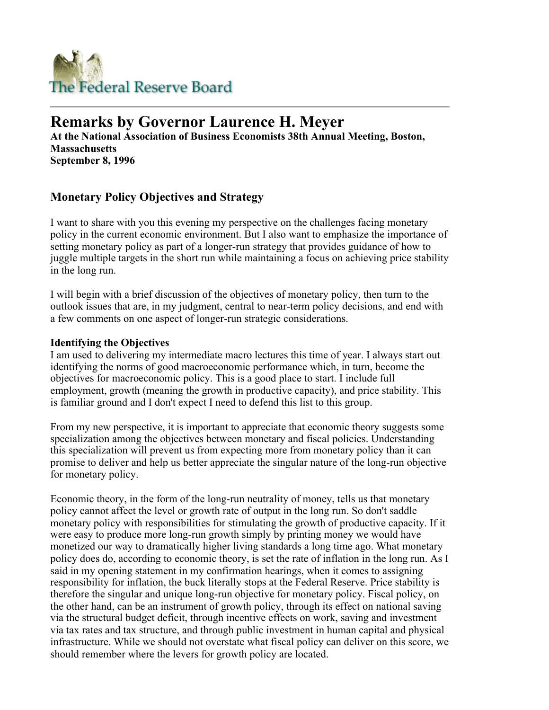

# **Remarks by Governor Laurence H. Meyer**

**At the National Association of Business Economists 38th Annual Meeting, Boston, Massachusetts September 8, 1996** 

## **Monetary Policy Objectives and Strategy**

I want to share with you this evening my perspective on the challenges facing monetary policy in the current economic environment. But I also want to emphasize the importance of setting monetary policy as part of a longer-run strategy that provides guidance of how to juggle multiple targets in the short run while maintaining a focus on achieving price stability in the long run.

I will begin with a brief discussion of the objectives of monetary policy, then turn to the outlook issues that are, in my judgment, central to near-term policy decisions, and end with a few comments on one aspect of longer-run strategic considerations.

#### **Identifying the Objectives**

I am used to delivering my intermediate macro lectures this time of year. I always start out identifying the norms of good macroeconomic performance which, in turn, become the objectives for macroeconomic policy. This is a good place to start. I include full employment, growth (meaning the growth in productive capacity), and price stability. This is familiar ground and I don't expect I need to defend this list to this group.

From my new perspective, it is important to appreciate that economic theory suggests some specialization among the objectives between monetary and fiscal policies. Understanding this specialization will prevent us from expecting more from monetary policy than it can promise to deliver and help us better appreciate the singular nature of the long-run objective for monetary policy.

Economic theory, in the form of the long-run neutrality of money, tells us that monetary policy cannot affect the level or growth rate of output in the long run. So don't saddle monetary policy with responsibilities for stimulating the growth of productive capacity. If it were easy to produce more long-run growth simply by printing money we would have monetized our way to dramatically higher living standards a long time ago. What monetary policy does do, according to economic theory, is set the rate of inflation in the long run. As I said in my opening statement in my confirmation hearings, when it comes to assigning responsibility for inflation, the buck literally stops at the Federal Reserve. Price stability is therefore the singular and unique long-run objective for monetary policy. Fiscal policy, on the other hand, can be an instrument of growth policy, through its effect on national saving via the structural budget deficit, through incentive effects on work, saving and investment via tax rates and tax structure, and through public investment in human capital and physical infrastructure. While we should not overstate what fiscal policy can deliver on this score, we should remember where the levers for growth policy are located.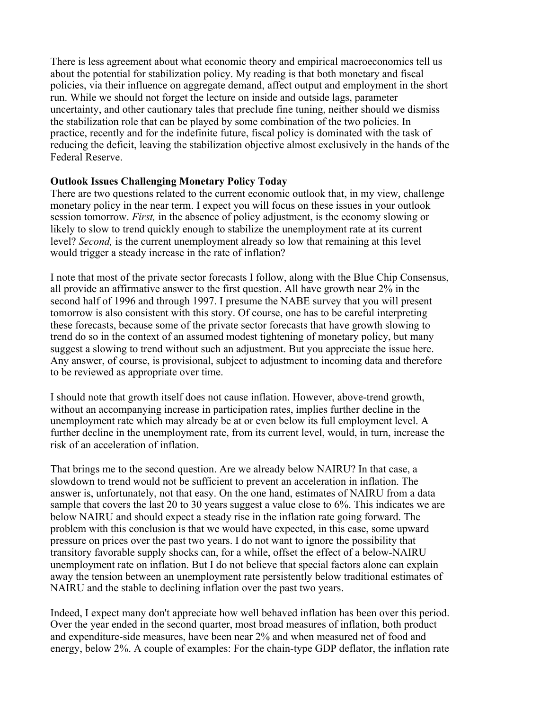There is less agreement about what economic theory and empirical macroeconomics tell us about the potential for stabilization policy. My reading is that both monetary and fiscal policies, via their influence on aggregate demand, affect output and employment in the short run. While we should not forget the lecture on inside and outside lags, parameter uncertainty, and other cautionary tales that preclude fine tuning, neither should we dismiss the stabilization role that can be played by some combination of the two policies. In practice, recently and for the indefinite future, fiscal policy is dominated with the task of reducing the deficit, leaving the stabilization objective almost exclusively in the hands of the Federal Reserve.

#### **Outlook Issues Challenging Monetary Policy Today**

There are two questions related to the current economic outlook that, in my view, challenge monetary policy in the near term. I expect you will focus on these issues in your outlook session tomorrow. *First,* in the absence of policy adjustment, is the economy slowing or likely to slow to trend quickly enough to stabilize the unemployment rate at its current level? *Second,* is the current unemployment already so low that remaining at this level would trigger a steady increase in the rate of inflation?

I note that most of the private sector forecasts I follow, along with the Blue Chip Consensus, all provide an affirmative answer to the first question. All have growth near 2% in the second half of 1996 and through 1997. I presume the NABE survey that you will present tomorrow is also consistent with this story. Of course, one has to be careful interpreting these forecasts, because some of the private sector forecasts that have growth slowing to trend do so in the context of an assumed modest tightening of monetary policy, but many suggest a slowing to trend without such an adjustment. But you appreciate the issue here. Any answer, of course, is provisional, subject to adjustment to incoming data and therefore to be reviewed as appropriate over time.

I should note that growth itself does not cause inflation. However, above-trend growth, without an accompanying increase in participation rates, implies further decline in the unemployment rate which may already be at or even below its full employment level. A further decline in the unemployment rate, from its current level, would, in turn, increase the risk of an acceleration of inflation.

That brings me to the second question. Are we already below NAIRU? In that case, a slowdown to trend would not be sufficient to prevent an acceleration in inflation. The answer is, unfortunately, not that easy. On the one hand, estimates of NAIRU from a data sample that covers the last 20 to 30 years suggest a value close to 6%. This indicates we are below NAIRU and should expect a steady rise in the inflation rate going forward. The problem with this conclusion is that we would have expected, in this case, some upward pressure on prices over the past two years. I do not want to ignore the possibility that transitory favorable supply shocks can, for a while, offset the effect of a below-NAIRU unemployment rate on inflation. But I do not believe that special factors alone can explain away the tension between an unemployment rate persistently below traditional estimates of NAIRU and the stable to declining inflation over the past two years.

Indeed, I expect many don't appreciate how well behaved inflation has been over this period. Over the year ended in the second quarter, most broad measures of inflation, both product and expenditure-side measures, have been near 2% and when measured net of food and energy, below 2%. A couple of examples: For the chain-type GDP deflator, the inflation rate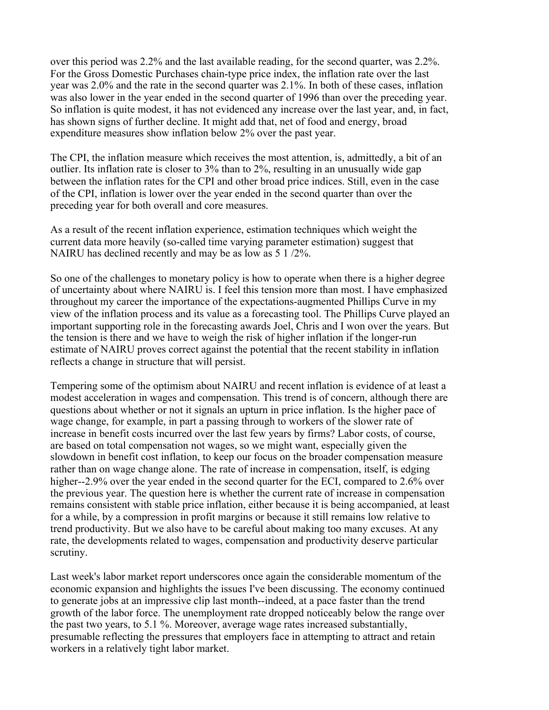over this period was 2.2% and the last available reading, for the second quarter, was 2.2%. For the Gross Domestic Purchases chain-type price index, the inflation rate over the last year was 2.0% and the rate in the second quarter was 2.1%. In both of these cases, inflation was also lower in the year ended in the second quarter of 1996 than over the preceding year. So inflation is quite modest, it has not evidenced any increase over the last year, and, in fact, has shown signs of further decline. It might add that, net of food and energy, broad expenditure measures show inflation below 2% over the past year.

The CPI, the inflation measure which receives the most attention, is, admittedly, a bit of an outlier. Its inflation rate is closer to 3% than to 2%, resulting in an unusually wide gap between the inflation rates for the CPI and other broad price indices. Still, even in the case of the CPI, inflation is lower over the year ended in the second quarter than over the preceding year for both overall and core measures.

As a result of the recent inflation experience, estimation techniques which weight the current data more heavily (so-called time varying parameter estimation) suggest that NAIRU has declined recently and may be as low as 5 1 /2%.

So one of the challenges to monetary policy is how to operate when there is a higher degree of uncertainty about where NAIRU is. I feel this tension more than most. I have emphasized throughout my career the importance of the expectations-augmented Phillips Curve in my view of the inflation process and its value as a forecasting tool. The Phillips Curve played an important supporting role in the forecasting awards Joel, Chris and I won over the years. But the tension is there and we have to weigh the risk of higher inflation if the longer-run estimate of NAIRU proves correct against the potential that the recent stability in inflation reflects a change in structure that will persist.

Tempering some of the optimism about NAIRU and recent inflation is evidence of at least a modest acceleration in wages and compensation. This trend is of concern, although there are questions about whether or not it signals an upturn in price inflation. Is the higher pace of wage change, for example, in part a passing through to workers of the slower rate of increase in benefit costs incurred over the last few years by firms? Labor costs, of course, are based on total compensation not wages, so we might want, especially given the slowdown in benefit cost inflation, to keep our focus on the broader compensation measure rather than on wage change alone. The rate of increase in compensation, itself, is edging higher--2.9% over the year ended in the second quarter for the ECI, compared to 2.6% over the previous year. The question here is whether the current rate of increase in compensation remains consistent with stable price inflation, either because it is being accompanied, at least for a while, by a compression in profit margins or because it still remains low relative to trend productivity. But we also have to be careful about making too many excuses. At any rate, the developments related to wages, compensation and productivity deserve particular scrutiny.

Last week's labor market report underscores once again the considerable momentum of the economic expansion and highlights the issues I've been discussing. The economy continued to generate jobs at an impressive clip last month--indeed, at a pace faster than the trend growth of the labor force. The unemployment rate dropped noticeably below the range over the past two years, to 5.1 %. Moreover, average wage rates increased substantially, presumable reflecting the pressures that employers face in attempting to attract and retain workers in a relatively tight labor market.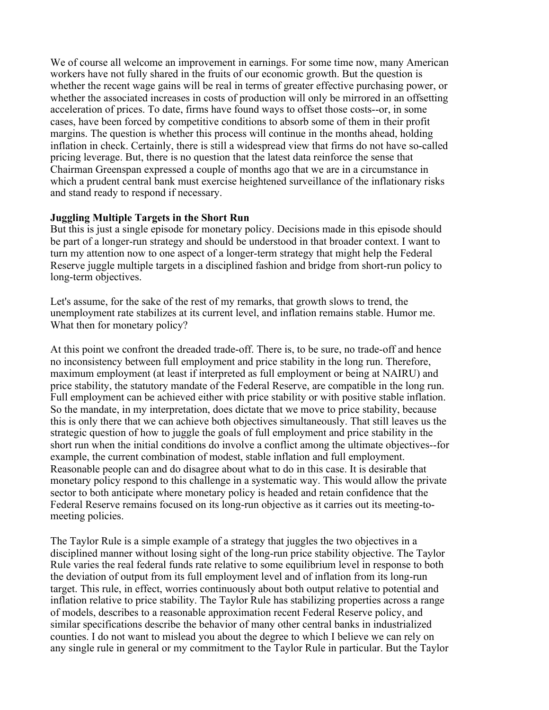We of course all welcome an improvement in earnings. For some time now, many American workers have not fully shared in the fruits of our economic growth. But the question is whether the recent wage gains will be real in terms of greater effective purchasing power, or whether the associated increases in costs of production will only be mirrored in an offsetting acceleration of prices. To date, firms have found ways to offset those costs--or, in some cases, have been forced by competitive conditions to absorb some of them in their profit margins. The question is whether this process will continue in the months ahead, holding inflation in check. Certainly, there is still a widespread view that firms do not have so-called pricing leverage. But, there is no question that the latest data reinforce the sense that Chairman Greenspan expressed a couple of months ago that we are in a circumstance in which a prudent central bank must exercise heightened surveillance of the inflationary risks and stand ready to respond if necessary.

#### **Juggling Multiple Targets in the Short Run**

But this is just a single episode for monetary policy. Decisions made in this episode should be part of a longer-run strategy and should be understood in that broader context. I want to turn my attention now to one aspect of a longer-term strategy that might help the Federal Reserve juggle multiple targets in a disciplined fashion and bridge from short-run policy to long-term objectives.

Let's assume, for the sake of the rest of my remarks, that growth slows to trend, the unemployment rate stabilizes at its current level, and inflation remains stable. Humor me. What then for monetary policy?

At this point we confront the dreaded trade-off. There is, to be sure, no trade-off and hence no inconsistency between full employment and price stability in the long run. Therefore, maximum employment (at least if interpreted as full employment or being at NAIRU) and price stability, the statutory mandate of the Federal Reserve, are compatible in the long run. Full employment can be achieved either with price stability or with positive stable inflation. So the mandate, in my interpretation, does dictate that we move to price stability, because this is only there that we can achieve both objectives simultaneously. That still leaves us the strategic question of how to juggle the goals of full employment and price stability in the short run when the initial conditions do involve a conflict among the ultimate objectives--for example, the current combination of modest, stable inflation and full employment. Reasonable people can and do disagree about what to do in this case. It is desirable that monetary policy respond to this challenge in a systematic way. This would allow the private sector to both anticipate where monetary policy is headed and retain confidence that the Federal Reserve remains focused on its long-run objective as it carries out its meeting-tomeeting policies.

The Taylor Rule is a simple example of a strategy that juggles the two objectives in a disciplined manner without losing sight of the long-run price stability objective. The Taylor Rule varies the real federal funds rate relative to some equilibrium level in response to both the deviation of output from its full employment level and of inflation from its long-run target. This rule, in effect, worries continuously about both output relative to potential and inflation relative to price stability. The Taylor Rule has stabilizing properties across a range of models, describes to a reasonable approximation recent Federal Reserve policy, and similar specifications describe the behavior of many other central banks in industrialized counties. I do not want to mislead you about the degree to which I believe we can rely on any single rule in general or my commitment to the Taylor Rule in particular. But the Taylor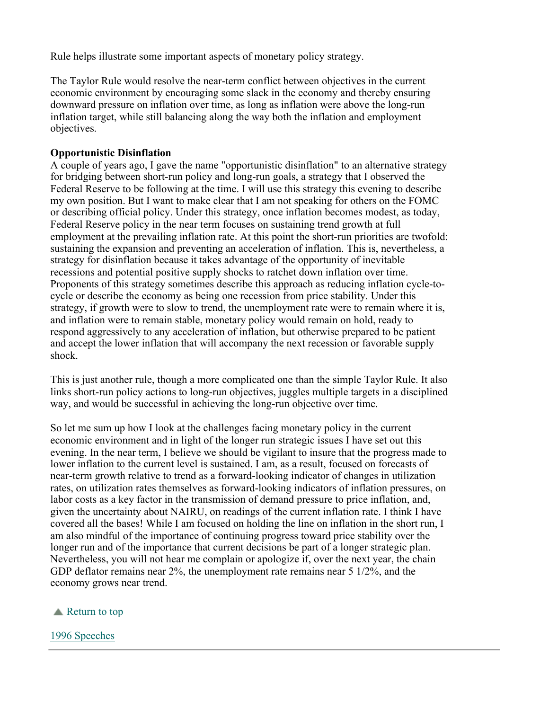Rule helps illustrate some important aspects of monetary policy strategy.

The Taylor Rule would resolve the near-term conflict between objectives in the current economic environment by encouraging some slack in the economy and thereby ensuring downward pressure on inflation over time, as long as inflation were above the long-run inflation target, while still balancing along the way both the inflation and employment objectives.

#### **Opportunistic Disinflation**

A couple of years ago, I gave the name "opportunistic disinflation" to an alternative strategy for bridging between short-run policy and long-run goals, a strategy that I observed the Federal Reserve to be following at the time. I will use this strategy this evening to describe my own position. But I want to make clear that I am not speaking for others on the FOMC or describing official policy. Under this strategy, once inflation becomes modest, as today, Federal Reserve policy in the near term focuses on sustaining trend growth at full employment at the prevailing inflation rate. At this point the short-run priorities are twofold: sustaining the expansion and preventing an acceleration of inflation. This is, nevertheless, a strategy for disinflation because it takes advantage of the opportunity of inevitable recessions and potential positive supply shocks to ratchet down inflation over time. Proponents of this strategy sometimes describe this approach as reducing inflation cycle-tocycle or describe the economy as being one recession from price stability. Under this strategy, if growth were to slow to trend, the unemployment rate were to remain where it is, and inflation were to remain stable, monetary policy would remain on hold, ready to respond aggressively to any acceleration of inflation, but otherwise prepared to be patient and accept the lower inflation that will accompany the next recession or favorable supply shock.

This is just another rule, though a more complicated one than the simple Taylor Rule. It also links short-run policy actions to long-run objectives, juggles multiple targets in a disciplined way, and would be successful in achieving the long-run objective over time.

So let me sum up how I look at the challenges facing monetary policy in the current economic environment and in light of the longer run strategic issues I have set out this evening. In the near term, I believe we should be vigilant to insure that the progress made to lower inflation to the current level is sustained. I am, as a result, focused on forecasts of near-term growth relative to trend as a forward-looking indicator of changes in utilization rates, on utilization rates themselves as forward-looking indicators of inflation pressures, on labor costs as a key factor in the transmission of demand pressure to price inflation, and, given the uncertainty about NAIRU, on readings of the current inflation rate. I think I have covered all the bases! While I am focused on holding the line on inflation in the short run, I am also mindful of the importance of continuing progress toward price stability over the longer run and of the importance that current decisions be part of a longer strategic plan. Nevertheless, you will not hear me complain or apologize if, over the next year, the chain GDP deflator remains near 2%, the unemployment rate remains near 5 1/2%, and the economy grows near trend.

### Return to top

#### 1996 Speeches